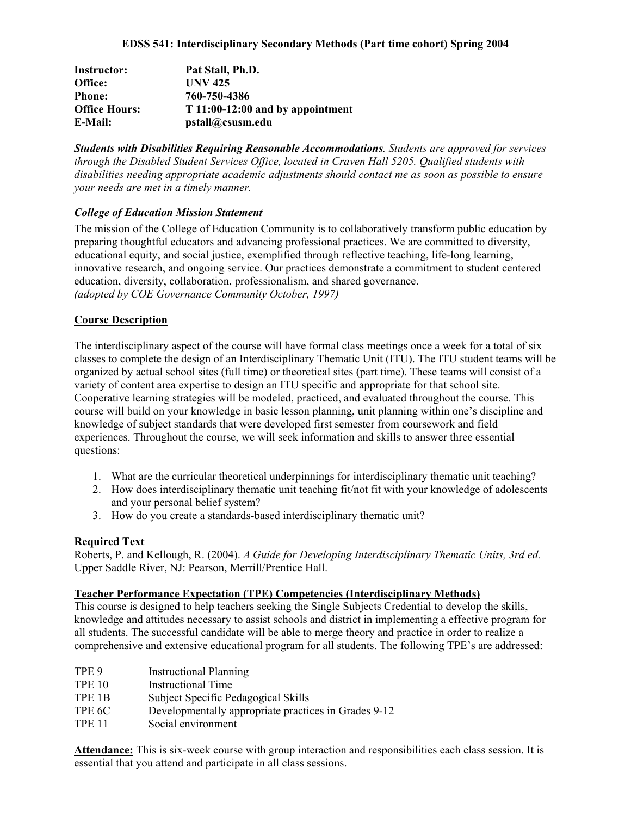| Instructor:          | Pat Stall, Ph.D.                  |
|----------------------|-----------------------------------|
| Office:              | <b>UNV 425</b>                    |
| <b>Phone:</b>        | 760-750-4386                      |
| <b>Office Hours:</b> | $T11:00-12:00$ and by appointment |
| E-Mail:              | pstall@csusm.edu                  |

*Students with Disabilities Requiring Reasonable Accommodations. Students are approved for services through the Disabled Student Services Office, located in Craven Hall 5205. Qualified students with disabilities needing appropriate academic adjustments should contact me as soon as possible to ensure your needs are met in a timely manner.* 

#### *College of Education Mission Statement*

The mission of the College of Education Community is to collaboratively transform public education by preparing thoughtful educators and advancing professional practices. We are committed to diversity, educational equity, and social justice, exemplified through reflective teaching, life-long learning, innovative research, and ongoing service. Our practices demonstrate a commitment to student centered education, diversity, collaboration, professionalism, and shared governance. *(adopted by COE Governance Community October, 1997)*

#### **Course Description**

The interdisciplinary aspect of the course will have formal class meetings once a week for a total of six classes to complete the design of an Interdisciplinary Thematic Unit (ITU). The ITU student teams will be organized by actual school sites (full time) or theoretical sites (part time). These teams will consist of a variety of content area expertise to design an ITU specific and appropriate for that school site. Cooperative learning strategies will be modeled, practiced, and evaluated throughout the course. This course will build on your knowledge in basic lesson planning, unit planning within one's discipline and knowledge of subject standards that were developed first semester from coursework and field experiences. Throughout the course, we will seek information and skills to answer three essential questions:

- 1. What are the curricular theoretical underpinnings for interdisciplinary thematic unit teaching?
- 2. How does interdisciplinary thematic unit teaching fit/not fit with your knowledge of adolescents and your personal belief system?
- 3. How do you create a standards-based interdisciplinary thematic unit?

#### **Required Text**

Roberts, P. and Kellough, R. (2004). *A Guide for Developing Interdisciplinary Thematic Units, 3rd ed.*  Upper Saddle River, NJ: Pearson, Merrill/Prentice Hall.

#### **Teacher Performance Expectation (TPE) Competencies (Interdisciplinary Methods)**

This course is designed to help teachers seeking the Single Subjects Credential to develop the skills, knowledge and attitudes necessary to assist schools and district in implementing a effective program for all students. The successful candidate will be able to merge theory and practice in order to realize a comprehensive and extensive educational program for all students. The following TPE's are addressed:

| TPE 9         | <b>Instructional Planning</b>                        |
|---------------|------------------------------------------------------|
| <b>TPE 10</b> | Instructional Time                                   |
| TPE 1B        | Subject Specific Pedagogical Skills                  |
| TPE 6C        | Developmentally appropriate practices in Grades 9-12 |
| <b>TPF 11</b> | Social environment                                   |

**Attendance:** This is six-week course with group interaction and responsibilities each class session. It is essential that you attend and participate in all class sessions.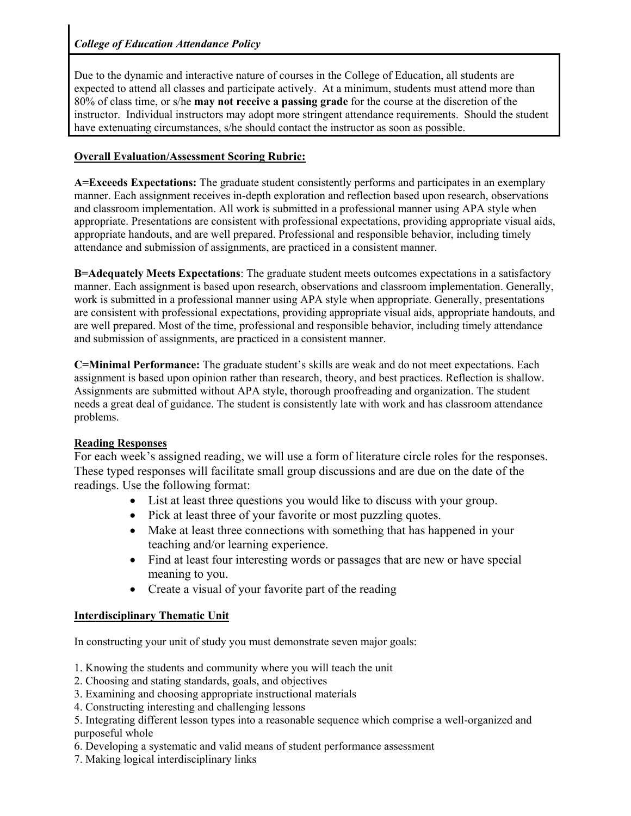Due to the dynamic and interactive nature of courses in the College of Education, all students are expected to attend all classes and participate actively. At a minimum, students must attend more than 80% of class time, or s/he **may not receive a passing grade** for the course at the discretion of the instructor. Individual instructors may adopt more stringent attendance requirements. Should the student have extenuating circumstances, s/he should contact the instructor as soon as possible.

# **Overall Evaluation/Assessment Scoring Rubric:**

**A=Exceeds Expectations:** The graduate student consistently performs and participates in an exemplary manner. Each assignment receives in-depth exploration and reflection based upon research, observations and classroom implementation. All work is submitted in a professional manner using APA style when appropriate. Presentations are consistent with professional expectations, providing appropriate visual aids, appropriate handouts, and are well prepared. Professional and responsible behavior, including timely attendance and submission of assignments, are practiced in a consistent manner.

**B=Adequately Meets Expectations**: The graduate student meets outcomes expectations in a satisfactory manner. Each assignment is based upon research, observations and classroom implementation. Generally, work is submitted in a professional manner using APA style when appropriate. Generally, presentations are consistent with professional expectations, providing appropriate visual aids, appropriate handouts, and are well prepared. Most of the time, professional and responsible behavior, including timely attendance and submission of assignments, are practiced in a consistent manner.

**C=Minimal Performance:** The graduate student's skills are weak and do not meet expectations. Each assignment is based upon opinion rather than research, theory, and best practices. Reflection is shallow. Assignments are submitted without APA style, thorough proofreading and organization. The student needs a great deal of guidance. The student is consistently late with work and has classroom attendance problems.

# **Reading Responses**

For each week's assigned reading, we will use a form of literature circle roles for the responses. These typed responses will facilitate small group discussions and are due on the date of the readings. Use the following format:

- List at least three questions you would like to discuss with your group.
- Pick at least three of your favorite or most puzzling quotes.
- Make at least three connections with something that has happened in your teaching and/or learning experience.
- Find at least four interesting words or passages that are new or have special meaning to you.
- Create a visual of your favorite part of the reading

# **Interdisciplinary Thematic Unit**

In constructing your unit of study you must demonstrate seven major goals:

- 1. Knowing the students and community where you will teach the unit
- 2. Choosing and stating standards, goals, and objectives
- 3. Examining and choosing appropriate instructional materials
- 4. Constructing interesting and challenging lessons
- 5. Integrating different lesson types into a reasonable sequence which comprise a well-organized and purposeful whole
- 6. Developing a systematic and valid means of student performance assessment
- 7. Making logical interdisciplinary links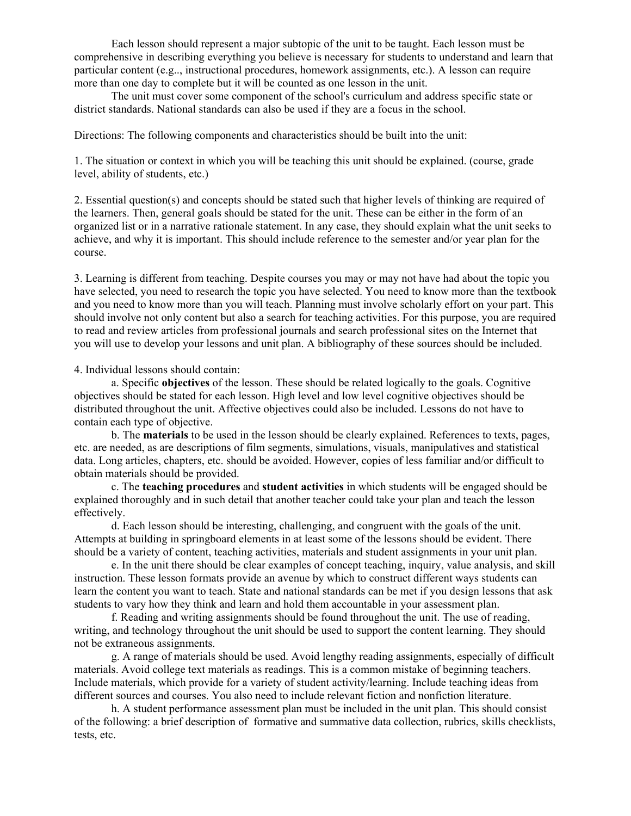Each lesson should represent a major subtopic of the unit to be taught. Each lesson must be comprehensive in describing everything you believe is necessary for students to understand and learn that particular content (e.g.., instructional procedures, homework assignments, etc.). A lesson can require more than one day to complete but it will be counted as one lesson in the unit.

The unit must cover some component of the school's curriculum and address specific state or district standards. National standards can also be used if they are a focus in the school.

Directions: The following components and characteristics should be built into the unit:

1. The situation or context in which you will be teaching this unit should be explained. (course, grade level, ability of students, etc.)

2. Essential question(s) and concepts should be stated such that higher levels of thinking are required of the learners. Then, general goals should be stated for the unit. These can be either in the form of an organized list or in a narrative rationale statement. In any case, they should explain what the unit seeks to achieve, and why it is important. This should include reference to the semester and/or year plan for the course.

3. Learning is different from teaching. Despite courses you may or may not have had about the topic you have selected, you need to research the topic you have selected. You need to know more than the textbook and you need to know more than you will teach. Planning must involve scholarly effort on your part. This should involve not only content but also a search for teaching activities. For this purpose, you are required to read and review articles from professional journals and search professional sites on the Internet that you will use to develop your lessons and unit plan. A bibliography of these sources should be included.

#### 4. Individual lessons should contain:

a. Specific **objectives** of the lesson. These should be related logically to the goals. Cognitive objectives should be stated for each lesson. High level and low level cognitive objectives should be distributed throughout the unit. Affective objectives could also be included. Lessons do not have to contain each type of objective.

b. The **materials** to be used in the lesson should be clearly explained. References to texts, pages, etc. are needed, as are descriptions of film segments, simulations, visuals, manipulatives and statistical data. Long articles, chapters, etc. should be avoided. However, copies of less familiar and/or difficult to obtain materials should be provided.

c. The **teaching procedures** and **student activities** in which students will be engaged should be explained thoroughly and in such detail that another teacher could take your plan and teach the lesson effectively.

d. Each lesson should be interesting, challenging, and congruent with the goals of the unit. Attempts at building in springboard elements in at least some of the lessons should be evident. There should be a variety of content, teaching activities, materials and student assignments in your unit plan.

e. In the unit there should be clear examples of concept teaching, inquiry, value analysis, and skill instruction. These lesson formats provide an avenue by which to construct different ways students can learn the content you want to teach. State and national standards can be met if you design lessons that ask students to vary how they think and learn and hold them accountable in your assessment plan.

f. Reading and writing assignments should be found throughout the unit. The use of reading, writing, and technology throughout the unit should be used to support the content learning. They should not be extraneous assignments.

g. A range of materials should be used. Avoid lengthy reading assignments, especially of difficult materials. Avoid college text materials as readings. This is a common mistake of beginning teachers. Include materials, which provide for a variety of student activity/learning. Include teaching ideas from different sources and courses. You also need to include relevant fiction and nonfiction literature.

h. A student performance assessment plan must be included in the unit plan. This should consist of the following: a brief description of formative and summative data collection, rubrics, skills checklists, tests, etc.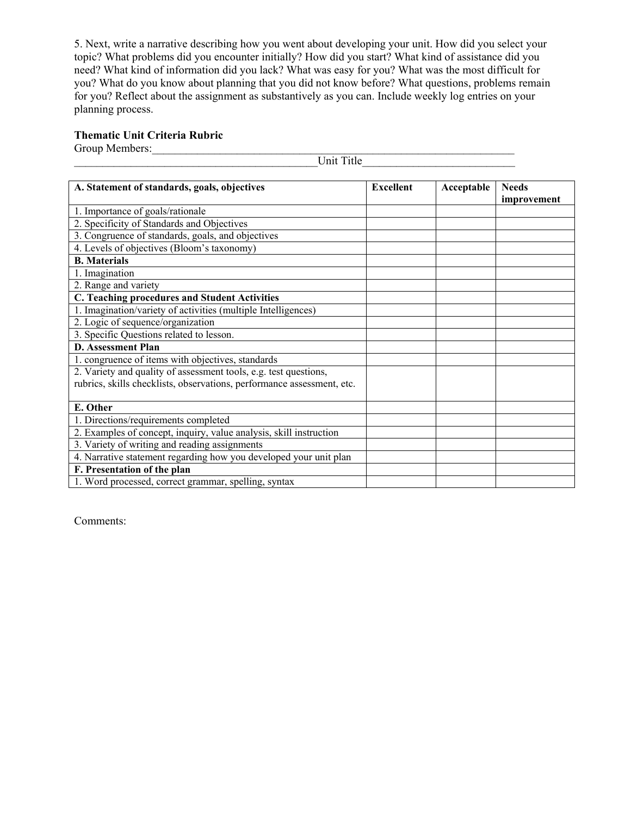5. Next, write a narrative describing how you went about developing your unit. How did you select your topic? What problems did you encounter initially? How did you start? What kind of assistance did you need? What kind of information did you lack? What was easy for you? What was the most difficult for you? What do you know about planning that you did not know before? What questions, problems remain for you? Reflect about the assignment as substantively as you can. Include weekly log entries on your planning process.

# **Thematic Unit Criteria Rubric**

Group Members:\_\_\_\_\_\_\_\_\_\_\_\_\_\_\_\_\_\_\_\_\_\_\_\_\_\_\_\_\_\_\_\_\_\_\_\_\_\_\_\_\_\_\_\_\_\_\_\_\_\_\_\_\_\_\_\_\_\_\_\_\_\_\_\_

\_\_\_\_\_\_\_\_\_\_\_\_\_\_\_\_\_\_\_\_\_\_\_\_\_\_\_\_\_\_\_\_\_\_\_\_\_\_\_\_\_\_\_Unit Title\_\_\_\_\_\_\_\_\_\_\_\_\_\_\_\_\_\_\_\_\_\_\_\_\_\_\_

| A. Statement of standards, goals, objectives                           | <b>Excellent</b> | Acceptable | <b>Needs</b> |
|------------------------------------------------------------------------|------------------|------------|--------------|
|                                                                        |                  |            | improvement  |
| 1. Importance of goals/rationale                                       |                  |            |              |
| 2. Specificity of Standards and Objectives                             |                  |            |              |
| 3. Congruence of standards, goals, and objectives                      |                  |            |              |
| 4. Levels of objectives (Bloom's taxonomy)                             |                  |            |              |
| <b>B.</b> Materials                                                    |                  |            |              |
| 1. Imagination                                                         |                  |            |              |
| 2. Range and variety                                                   |                  |            |              |
| C. Teaching procedures and Student Activities                          |                  |            |              |
| 1. Imagination/variety of activities (multiple Intelligences)          |                  |            |              |
| 2. Logic of sequence/organization                                      |                  |            |              |
| 3. Specific Questions related to lesson.                               |                  |            |              |
| <b>D.</b> Assessment Plan                                              |                  |            |              |
| 1. congruence of items with objectives, standards                      |                  |            |              |
| 2. Variety and quality of assessment tools, e.g. test questions,       |                  |            |              |
| rubrics, skills checklists, observations, performance assessment, etc. |                  |            |              |
|                                                                        |                  |            |              |
| E. Other                                                               |                  |            |              |
| 1. Directions/requirements completed                                   |                  |            |              |
| 2. Examples of concept, inquiry, value analysis, skill instruction     |                  |            |              |
| 3. Variety of writing and reading assignments                          |                  |            |              |
| 4. Narrative statement regarding how you developed your unit plan      |                  |            |              |
| F. Presentation of the plan                                            |                  |            |              |
| 1. Word processed, correct grammar, spelling, syntax                   |                  |            |              |

Comments: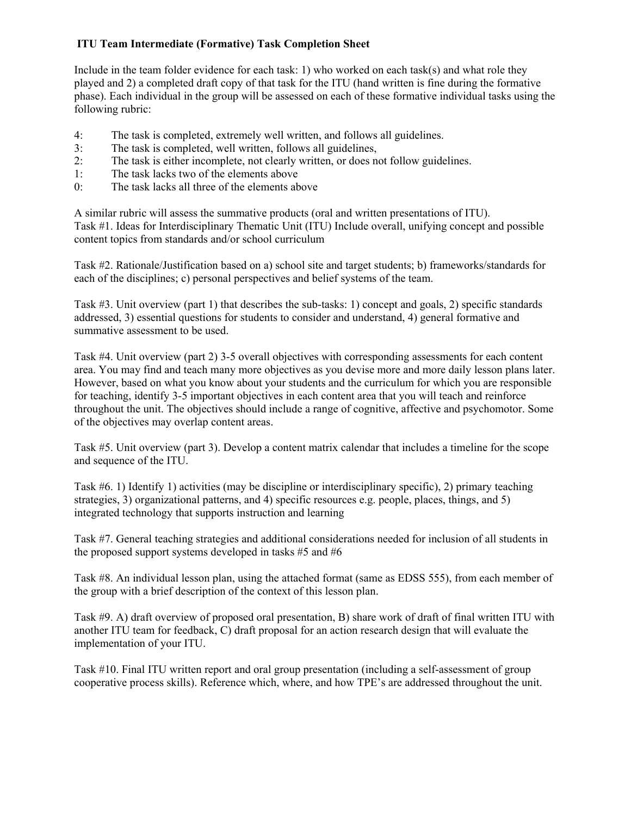#### **ITU Team Intermediate (Formative) Task Completion Sheet**

Include in the team folder evidence for each task: 1) who worked on each task(s) and what role they played and 2) a completed draft copy of that task for the ITU (hand written is fine during the formative phase). Each individual in the group will be assessed on each of these formative individual tasks using the following rubric:

- 4: The task is completed, extremely well written, and follows all guidelines.
- 3: The task is completed, well written, follows all guidelines,
- 2: The task is either incomplete, not clearly written, or does not follow guidelines.
- 1: The task lacks two of the elements above
- 0: The task lacks all three of the elements above

A similar rubric will assess the summative products (oral and written presentations of ITU). Task #1. Ideas for Interdisciplinary Thematic Unit (ITU) Include overall, unifying concept and possible content topics from standards and/or school curriculum

Task #2. Rationale/Justification based on a) school site and target students; b) frameworks/standards for each of the disciplines; c) personal perspectives and belief systems of the team.

Task #3. Unit overview (part 1) that describes the sub-tasks: 1) concept and goals, 2) specific standards addressed, 3) essential questions for students to consider and understand, 4) general formative and summative assessment to be used.

Task #4. Unit overview (part 2) 3-5 overall objectives with corresponding assessments for each content area. You may find and teach many more objectives as you devise more and more daily lesson plans later. However, based on what you know about your students and the curriculum for which you are responsible for teaching, identify 3-5 important objectives in each content area that you will teach and reinforce throughout the unit. The objectives should include a range of cognitive, affective and psychomotor. Some of the objectives may overlap content areas.

Task #5. Unit overview (part 3). Develop a content matrix calendar that includes a timeline for the scope and sequence of the ITU.

Task #6. 1) Identify 1) activities (may be discipline or interdisciplinary specific), 2) primary teaching strategies, 3) organizational patterns, and 4) specific resources e.g. people, places, things, and 5) integrated technology that supports instruction and learning

Task #7. General teaching strategies and additional considerations needed for inclusion of all students in the proposed support systems developed in tasks #5 and #6

Task #8. An individual lesson plan, using the attached format (same as EDSS 555), from each member of the group with a brief description of the context of this lesson plan.

Task #9. A) draft overview of proposed oral presentation, B) share work of draft of final written ITU with another ITU team for feedback, C) draft proposal for an action research design that will evaluate the implementation of your ITU.

Task #10. Final ITU written report and oral group presentation (including a self-assessment of group cooperative process skills). Reference which, where, and how TPE's are addressed throughout the unit.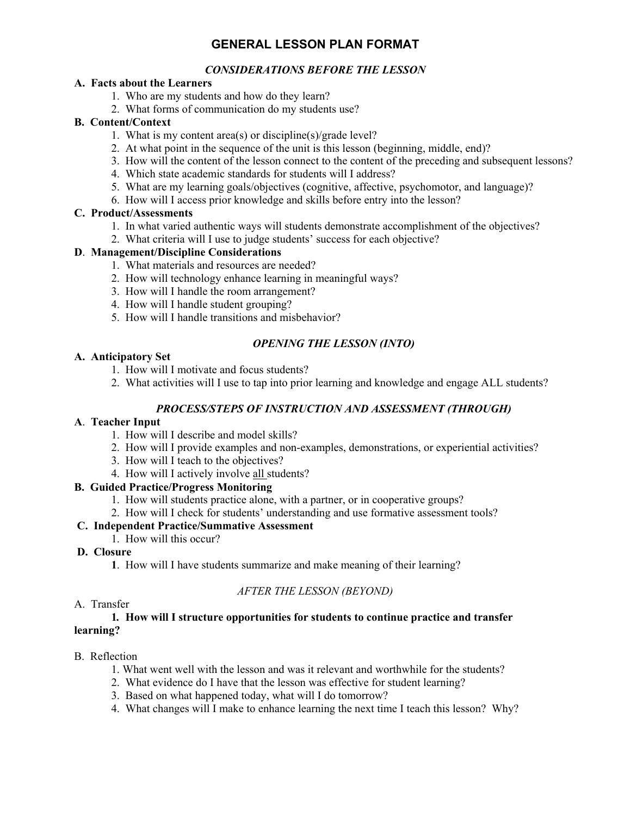# **GENERAL LESSON PLAN FORMAT**

### *CONSIDERATIONS BEFORE THE LESSON*

#### **A. Facts about the Learners**

- 1. Who are my students and how do they learn?
- 2. What forms of communication do my students use?

#### **B. Content/Context**

- 1. What is my content area(s) or discipline(s)/grade level?
- 2. At what point in the sequence of the unit is this lesson (beginning, middle, end)?
- 3. How will the content of the lesson connect to the content of the preceding and subsequent lessons?
- 4. Which state academic standards for students will I address?
- 5. What are my learning goals/objectives (cognitive, affective, psychomotor, and language)?
- 6. How will I access prior knowledge and skills before entry into the lesson?

#### **C. Product/Assessments**

- 1. In what varied authentic ways will students demonstrate accomplishment of the objectives?
- 2. What criteria will I use to judge students' success for each objective?

#### **D**. **Management/Discipline Considerations**

- 1. What materials and resources are needed?
- 2. How will technology enhance learning in meaningful ways?
- 3. How will I handle the room arrangement?
- 4. How will I handle student grouping?
- 5. How will I handle transitions and misbehavior?

# *OPENING THE LESSON (INTO)*

#### **A. Anticipatory Set**

- 1. How will I motivate and focus students?
- 2. What activities will I use to tap into prior learning and knowledge and engage ALL students?

### *PROCESS/STEPS OF INSTRUCTION AND ASSESSMENT (THROUGH)*

#### **A**. **Teacher Input**

- 1. How will I describe and model skills?
- 2. How will I provide examples and non-examples, demonstrations, or experiential activities?
- 3. How will I teach to the objectives?
- 4. How will I actively involve all students?

### **B. Guided Practice/Progress Monitoring**

- 1. How will students practice alone, with a partner, or in cooperative groups?
- 2. How will I check for students' understanding and use formative assessment tools?

### **C. Independent Practice/Summative Assessment**

1. How will this occur?

### **D. Closure**

 **1**. How will I have students summarize and make meaning of their learning?

### *AFTER THE LESSON (BEYOND)*

#### A. Transfer

#### **1***.* **How will I structure opportunities for students to continue practice and transfer learning?**

#### B.Reflection

- 1. What went well with the lesson and was it relevant and worthwhile for the students?
- 2. What evidence do I have that the lesson was effective for student learning?
- 3. Based on what happened today, what will I do tomorrow?
- 4. What changes will I make to enhance learning the next time I teach this lesson? Why?